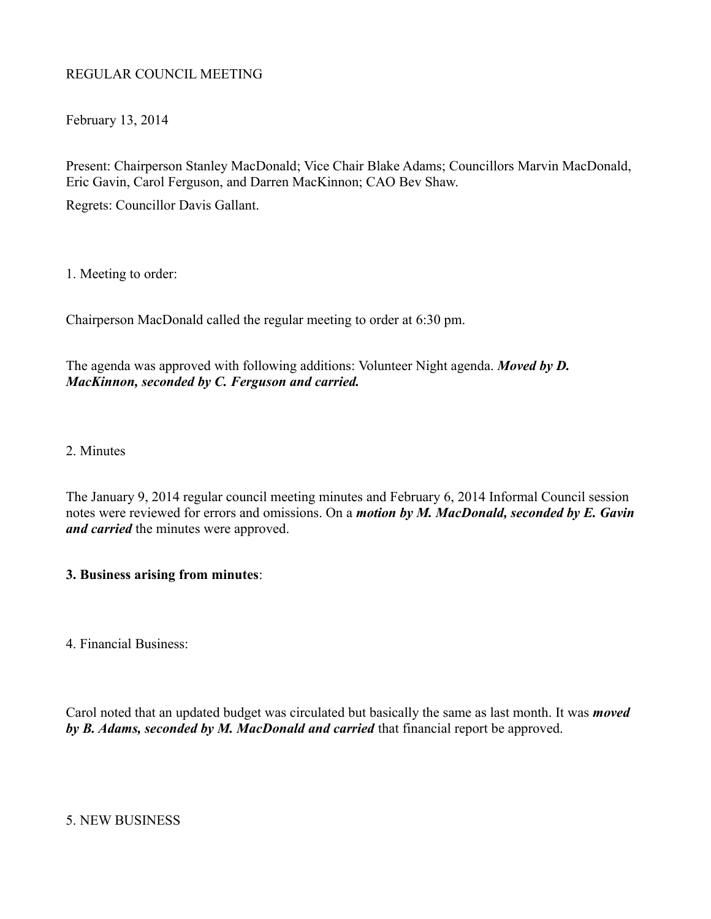## REGULAR COUNCIL MEETING

February 13, 2014

Present: Chairperson Stanley MacDonald; Vice Chair Blake Adams; Councillors Marvin MacDonald, Eric Gavin, Carol Ferguson, and Darren MacKinnon; CAO Bev Shaw.

Regrets: Councillor Davis Gallant.

1. Meeting to order:

Chairperson MacDonald called the regular meeting to order at 6:30 pm.

The agenda was approved with following additions: Volunteer Night agenda. *Moved by D. MacKinnon, seconded by C. Ferguson and carried.*

2. Minutes

The January 9, 2014 regular council meeting minutes and February 6, 2014 Informal Council session notes were reviewed for errors and omissions. On a *motion by M. MacDonald, seconded by E. Gavin and carried* the minutes were approved.

## **3. Business arising from minutes**:

4. Financial Business:

Carol noted that an updated budget was circulated but basically the same as last month. It was *moved by B. Adams, seconded by M. MacDonald and carried* that financial report be approved.

5. NEW BUSINESS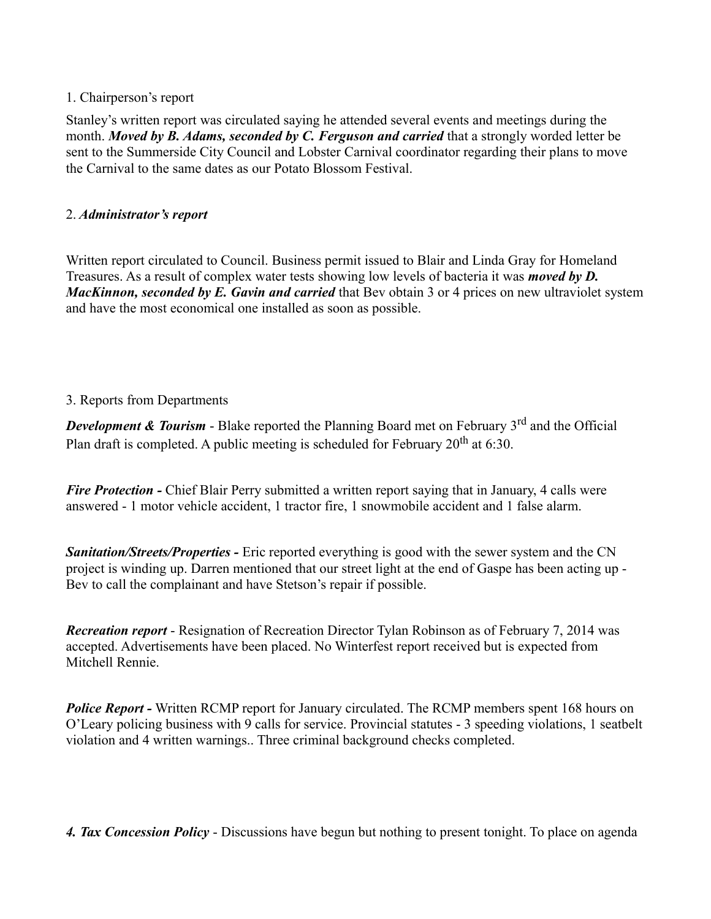## 1. Chairperson's report

Stanley's written report was circulated saying he attended several events and meetings during the month. *Moved by B. Adams, seconded by C. Ferguson and carried* that a strongly worded letter be sent to the Summerside City Council and Lobster Carnival coordinator regarding their plans to move the Carnival to the same dates as our Potato Blossom Festival.

## 2. *Administrator's report*

Written report circulated to Council. Business permit issued to Blair and Linda Gray for Homeland Treasures. As a result of complex water tests showing low levels of bacteria it was *moved by D. MacKinnon, seconded by E. Gavin and carried* that Bev obtain 3 or 4 prices on new ultraviolet system and have the most economical one installed as soon as possible.

# 3. Reports from Departments

*Development & Tourism* - Blake reported the Planning Board met on February 3<sup>rd</sup> and the Official Plan draft is completed. A public meeting is scheduled for February  $20^{th}$  at 6:30.

*Fire Protection -* Chief Blair Perry submitted a written report saying that in January, 4 calls were answered - 1 motor vehicle accident, 1 tractor fire, 1 snowmobile accident and 1 false alarm.

*Sanitation/Streets/Properties -* Eric reported everything is good with the sewer system and the CN project is winding up. Darren mentioned that our street light at the end of Gaspe has been acting up - Bev to call the complainant and have Stetson's repair if possible.

*Recreation report* - Resignation of Recreation Director Tylan Robinson as of February 7, 2014 was accepted. Advertisements have been placed. No Winterfest report received but is expected from Mitchell Rennie.

**Police Report - Written RCMP report for January circulated. The RCMP members spent 168 hours on** O'Leary policing business with 9 calls for service. Provincial statutes - 3 speeding violations, 1 seatbelt violation and 4 written warnings.. Three criminal background checks completed.

*4. Tax Concession Policy* - Discussions have begun but nothing to present tonight. To place on agenda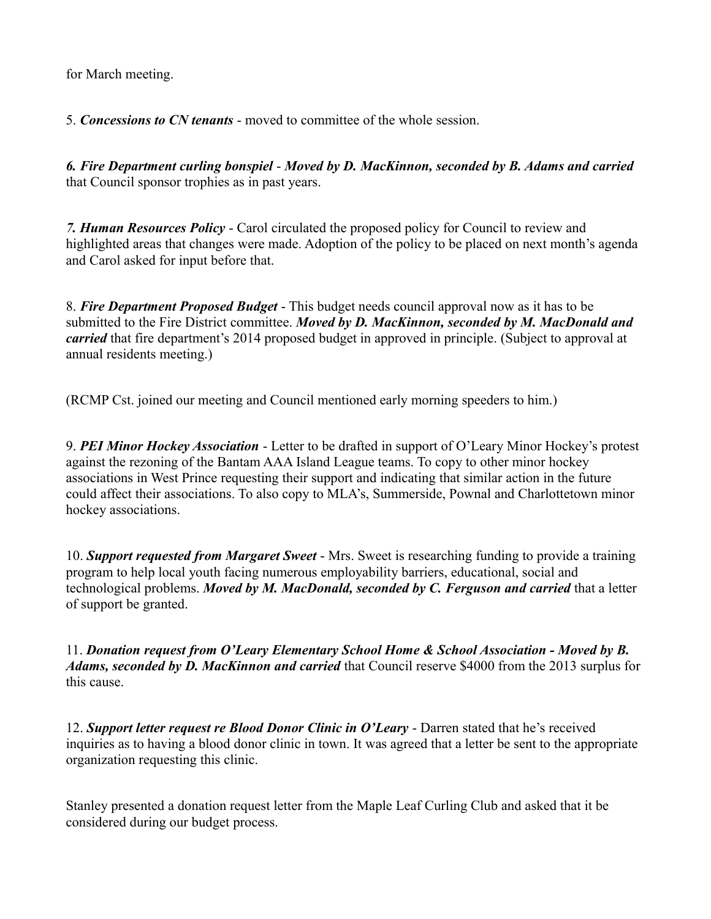for March meeting.

5. *Concessions to CN tenants* - moved to committee of the whole session.

*6. Fire Department curling bonspiel* - *Moved by D. MacKinnon, seconded by B. Adams and carried* that Council sponsor trophies as in past years.

*7. Human Resources Policy* - Carol circulated the proposed policy for Council to review and highlighted areas that changes were made. Adoption of the policy to be placed on next month's agenda and Carol asked for input before that.

8. *Fire Department Proposed Budget* - This budget needs council approval now as it has to be submitted to the Fire District committee. *Moved by D. MacKinnon, seconded by M. MacDonald and carried* that fire department's 2014 proposed budget in approved in principle. (Subject to approval at annual residents meeting.)

(RCMP Cst. joined our meeting and Council mentioned early morning speeders to him.)

9. *PEI Minor Hockey Association* - Letter to be drafted in support of O'Leary Minor Hockey's protest against the rezoning of the Bantam AAA Island League teams. To copy to other minor hockey associations in West Prince requesting their support and indicating that similar action in the future could affect their associations. To also copy to MLA's, Summerside, Pownal and Charlottetown minor hockey associations.

10. *Support requested from Margaret Sweet* - Mrs. Sweet is researching funding to provide a training program to help local youth facing numerous employability barriers, educational, social and technological problems. *Moved by M. MacDonald, seconded by C. Ferguson and carried* that a letter of support be granted.

11. *Donation request from O'Leary Elementary School Home & School Association - Moved by B. Adams, seconded by D. MacKinnon and carried* that Council reserve \$4000 from the 2013 surplus for this cause.

12. *Support letter request re Blood Donor Clinic in O'Leary* - Darren stated that he's received inquiries as to having a blood donor clinic in town. It was agreed that a letter be sent to the appropriate organization requesting this clinic.

Stanley presented a donation request letter from the Maple Leaf Curling Club and asked that it be considered during our budget process.